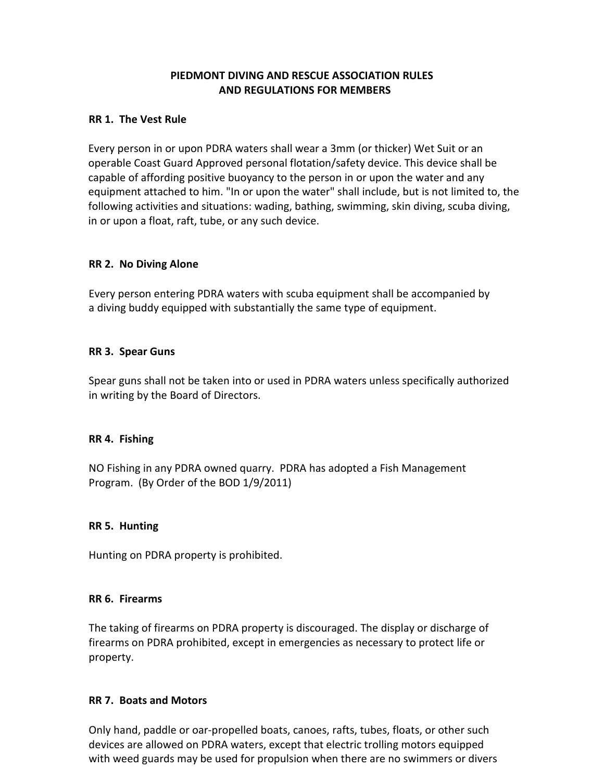## PIEDMONT DIVING AND RESCUE ASSOCIATION RULES AND REGULATIONS FOR MEMBERS

### RR 1. The Vest Rule

Every person in or upon PDRA waters shall wear a 3mm (or thicker) Wet Suit or an operable Coast Guard Approved personal flotation/safety device. This device shall be capable of affording positive buoyancy to the person in or upon the water and any equipment attached to him. "In or upon the water" shall include, but is not limited to, the following activities and situations: wading, bathing, swimming, skin diving, scuba diving, in or upon a float, raft, tube, or any such device.

### RR 2. No Diving Alone

Every person entering PDRA waters with scuba equipment shall be accompanied by a diving buddy equipped with substantially the same type of equipment.

#### RR 3. Spear Guns

Spear guns shall not be taken into or used in PDRA waters unless specifically authorized in writing by the Board of Directors.

### RR 4. Fishing

NO Fishing in any PDRA owned quarry. PDRA has adopted a Fish Management Program. (By Order of the BOD 1/9/2011)

### RR 5. Hunting

Hunting on PDRA property is prohibited.

#### RR 6. Firearms

The taking of firearms on PDRA property is discouraged. The display or discharge of firearms on PDRA prohibited, except in emergencies as necessary to protect life or property.

### RR 7. Boats and Motors

Only hand, paddle or oar-propelled boats, canoes, rafts, tubes, floats, or other such devices are allowed on PDRA waters, except that electric trolling motors equipped with weed guards may be used for propulsion when there are no swimmers or divers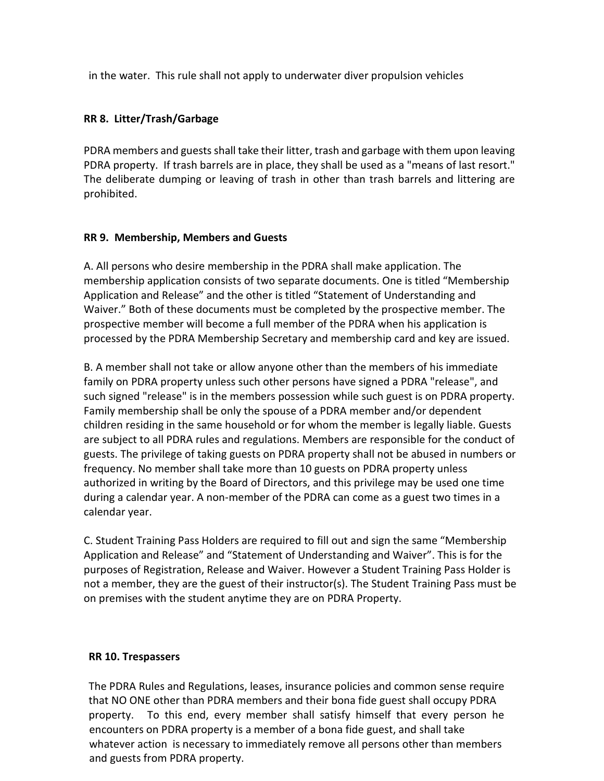in the water. This rule shall not apply to underwater diver propulsion vehicles

## RR 8. Litter/Trash/Garbage

PDRA members and guests shall take their litter, trash and garbage with them upon leaving PDRA property. If trash barrels are in place, they shall be used as a "means of last resort." The deliberate dumping or leaving of trash in other than trash barrels and littering are prohibited.

### RR 9. Membership, Members and Guests

A. All persons who desire membership in the PDRA shall make application. The membership application consists of two separate documents. One is titled "Membership Application and Release" and the other is titled "Statement of Understanding and Waiver." Both of these documents must be completed by the prospective member. The prospective member will become a full member of the PDRA when his application is processed by the PDRA Membership Secretary and membership card and key are issued.

B. A member shall not take or allow anyone other than the members of his immediate family on PDRA property unless such other persons have signed a PDRA "release", and such signed "release" is in the members possession while such guest is on PDRA property. Family membership shall be only the spouse of a PDRA member and/or dependent children residing in the same household or for whom the member is legally liable. Guests are subject to all PDRA rules and regulations. Members are responsible for the conduct of guests. The privilege of taking guests on PDRA property shall not be abused in numbers or frequency. No member shall take more than 10 guests on PDRA property unless authorized in writing by the Board of Directors, and this privilege may be used one time during a calendar year. A non-member of the PDRA can come as a guest two times in a calendar year.

C. Student Training Pass Holders are required to fill out and sign the same "Membership Application and Release" and "Statement of Understanding and Waiver". This is for the purposes of Registration, Release and Waiver. However a Student Training Pass Holder is not a member, they are the guest of their instructor(s). The Student Training Pass must be on premises with the student anytime they are on PDRA Property.

# RR 10. Trespassers

The PDRA Rules and Regulations, leases, insurance policies and common sense require that NO ONE other than PDRA members and their bona fide guest shall occupy PDRA property. To this end, every member shall satisfy himself that every person he encounters on PDRA property is a member of a bona fide guest, and shall take whatever action is necessary to immediately remove all persons other than members and guests from PDRA property.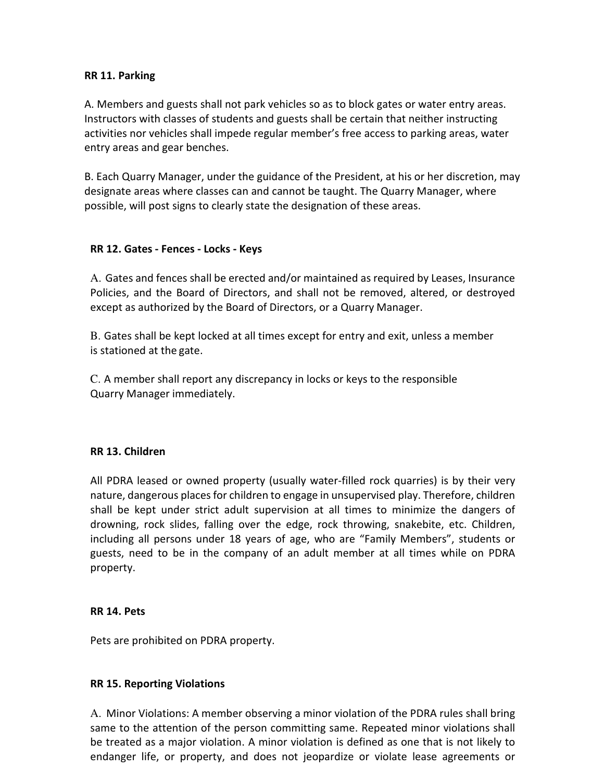### RR 11. Parking

A. Members and guests shall not park vehicles so as to block gates or water entry areas. Instructors with classes of students and guests shall be certain that neither instructing activities nor vehicles shall impede regular member's free access to parking areas, water entry areas and gear benches.

B. Each Quarry Manager, under the guidance of the President, at his or her discretion, may designate areas where classes can and cannot be taught. The Quarry Manager, where possible, will post signs to clearly state the designation of these areas.

### RR 12. Gates - Fences - Locks - Keys

A. Gates and fences shall be erected and/or maintained as required by Leases, Insurance Policies, and the Board of Directors, and shall not be removed, altered, or destroyed except as authorized by the Board of Directors, or a Quarry Manager.

B. Gates shall be kept locked at all times except for entry and exit, unless a member is stationed at the gate.

C. A member shall report any discrepancy in locks or keys to the responsible Quarry Manager immediately.

#### RR 13. Children

All PDRA leased or owned property (usually water-filled rock quarries) is by their very nature, dangerous places for children to engage in unsupervised play. Therefore, children shall be kept under strict adult supervision at all times to minimize the dangers of drowning, rock slides, falling over the edge, rock throwing, snakebite, etc. Children, including all persons under 18 years of age, who are "Family Members", students or guests, need to be in the company of an adult member at all times while on PDRA property.

#### RR 14. Pets

Pets are prohibited on PDRA property.

#### RR 15. Reporting Violations

A. Minor Violations: A member observing a minor violation of the PDRA rules shall bring same to the attention of the person committing same. Repeated minor violations shall be treated as a major violation. A minor violation is defined as one that is not likely to endanger life, or property, and does not jeopardize or violate lease agreements or